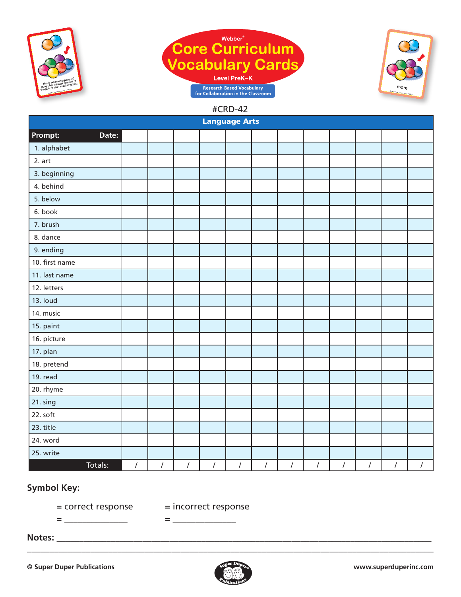





| <b>Language Arts</b> |          |            |          |            |          |          |          |          |            |            |                |                      |
|----------------------|----------|------------|----------|------------|----------|----------|----------|----------|------------|------------|----------------|----------------------|
| Prompt:<br>Date:     |          |            |          |            |          |          |          |          |            |            |                |                      |
| 1. alphabet          |          |            |          |            |          |          |          |          |            |            |                |                      |
| 2. art               |          |            |          |            |          |          |          |          |            |            |                |                      |
| 3. beginning         |          |            |          |            |          |          |          |          |            |            |                |                      |
| 4. behind            |          |            |          |            |          |          |          |          |            |            |                |                      |
| 5. below             |          |            |          |            |          |          |          |          |            |            |                |                      |
| 6. book              |          |            |          |            |          |          |          |          |            |            |                |                      |
| 7. brush             |          |            |          |            |          |          |          |          |            |            |                |                      |
| 8. dance             |          |            |          |            |          |          |          |          |            |            |                |                      |
| 9. ending            |          |            |          |            |          |          |          |          |            |            |                |                      |
| 10. first name       |          |            |          |            |          |          |          |          |            |            |                |                      |
| 11. last name        |          |            |          |            |          |          |          |          |            |            |                |                      |
| 12. letters          |          |            |          |            |          |          |          |          |            |            |                |                      |
| 13. loud             |          |            |          |            |          |          |          |          |            |            |                |                      |
| 14. music            |          |            |          |            |          |          |          |          |            |            |                |                      |
| 15. paint            |          |            |          |            |          |          |          |          |            |            |                |                      |
| 16. picture          |          |            |          |            |          |          |          |          |            |            |                |                      |
| 17. plan             |          |            |          |            |          |          |          |          |            |            |                |                      |
| 18. pretend          |          |            |          |            |          |          |          |          |            |            |                |                      |
| 19. read             |          |            |          |            |          |          |          |          |            |            |                |                      |
| 20. rhyme            |          |            |          |            |          |          |          |          |            |            |                |                      |
| 21. sing             |          |            |          |            |          |          |          |          |            |            |                |                      |
| 22. soft             |          |            |          |            |          |          |          |          |            |            |                |                      |
| 23. title            |          |            |          |            |          |          |          |          |            |            |                |                      |
| 24. word             |          |            |          |            |          |          |          |          |            |            |                |                      |
| 25. write            |          |            |          |            |          |          |          |          |            |            |                |                      |
| Totals:              | $\prime$ | $\sqrt{2}$ | $\prime$ | $\sqrt{2}$ | $\prime$ | $\prime$ | $\prime$ | $\prime$ | $\sqrt{2}$ | $\sqrt{2}$ | $\overline{I}$ | $\sqrt{\phantom{a}}$ |

## **Symbol Key:**

= correct response = incorrect response

= \_\_\_\_\_\_\_\_\_\_\_\_\_\_ = \_\_\_\_\_\_\_\_\_\_\_\_\_\_

**Notes:** \_\_\_\_\_\_\_\_\_\_\_\_\_\_\_\_\_\_\_\_\_\_\_\_\_\_\_\_\_\_\_\_\_\_\_\_\_\_\_\_\_\_\_\_\_\_\_\_\_\_\_\_\_\_\_\_\_\_\_\_\_\_\_\_\_\_\_\_\_\_\_\_\_\_\_\_\_\_\_\_\_\_\_

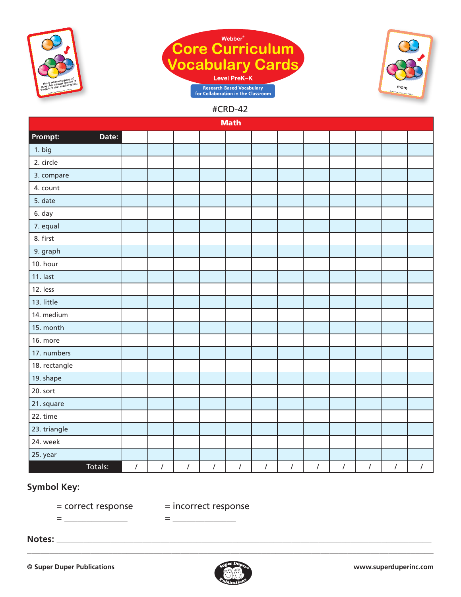





| <b>Math</b>      |            |            |            |                  |            |            |            |            |            |            |            |            |
|------------------|------------|------------|------------|------------------|------------|------------|------------|------------|------------|------------|------------|------------|
| Prompt:<br>Date: |            |            |            |                  |            |            |            |            |            |            |            |            |
| 1. big           |            |            |            |                  |            |            |            |            |            |            |            |            |
| 2. circle        |            |            |            |                  |            |            |            |            |            |            |            |            |
| 3. compare       |            |            |            |                  |            |            |            |            |            |            |            |            |
| 4. count         |            |            |            |                  |            |            |            |            |            |            |            |            |
| 5. date          |            |            |            |                  |            |            |            |            |            |            |            |            |
| 6. day           |            |            |            |                  |            |            |            |            |            |            |            |            |
| 7. equal         |            |            |            |                  |            |            |            |            |            |            |            |            |
| 8. first         |            |            |            |                  |            |            |            |            |            |            |            |            |
| 9. graph         |            |            |            |                  |            |            |            |            |            |            |            |            |
| 10. hour         |            |            |            |                  |            |            |            |            |            |            |            |            |
| 11. last         |            |            |            |                  |            |            |            |            |            |            |            |            |
| 12. less         |            |            |            |                  |            |            |            |            |            |            |            |            |
| 13. little       |            |            |            |                  |            |            |            |            |            |            |            |            |
| 14. medium       |            |            |            |                  |            |            |            |            |            |            |            |            |
| 15. month        |            |            |            |                  |            |            |            |            |            |            |            |            |
| 16. more         |            |            |            |                  |            |            |            |            |            |            |            |            |
| 17. numbers      |            |            |            |                  |            |            |            |            |            |            |            |            |
| 18. rectangle    |            |            |            |                  |            |            |            |            |            |            |            |            |
| 19. shape        |            |            |            |                  |            |            |            |            |            |            |            |            |
| 20. sort         |            |            |            |                  |            |            |            |            |            |            |            |            |
| 21. square       |            |            |            |                  |            |            |            |            |            |            |            |            |
| 22. time         |            |            |            |                  |            |            |            |            |            |            |            |            |
| 23. triangle     |            |            |            |                  |            |            |            |            |            |            |            |            |
| 24. week         |            |            |            |                  |            |            |            |            |            |            |            |            |
| 25. year         |            |            |            |                  |            |            |            |            |            |            |            |            |
| Totals:          | $\sqrt{2}$ | $\sqrt{ }$ | $\sqrt{2}$ | $\left  \right $ | $\sqrt{2}$ | $\sqrt{2}$ | $\sqrt{2}$ | $\sqrt{2}$ | $\sqrt{2}$ | $\sqrt{2}$ | $\sqrt{ }$ | $\sqrt{ }$ |

# **Symbol Key:**

= <u>\_\_\_\_\_\_\_\_\_\_\_\_\_\_</u> = <u>\_\_\_\_\_\_\_\_\_\_\_\_</u>

= correct response = incorrect response

**Notes:** \_\_\_\_\_\_\_\_\_\_\_\_\_\_\_\_\_\_\_\_\_\_\_\_\_\_\_\_\_\_\_\_\_\_\_\_\_\_\_\_\_\_\_\_\_\_\_\_\_\_\_\_\_\_\_\_\_\_\_\_\_\_\_\_\_\_\_\_\_\_\_\_\_\_\_\_\_\_\_\_\_\_\_

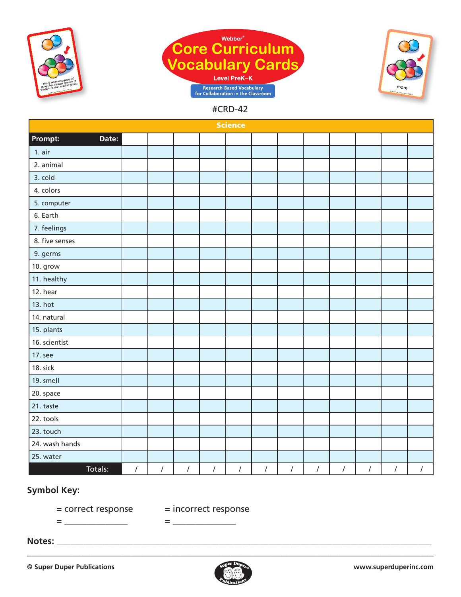





| <b>Science</b>   |                |            |            |            |            |            |            |            |            |            |            |            |
|------------------|----------------|------------|------------|------------|------------|------------|------------|------------|------------|------------|------------|------------|
| Prompt:<br>Date: |                |            |            |            |            |            |            |            |            |            |            |            |
| $1.$ air         |                |            |            |            |            |            |            |            |            |            |            |            |
| 2. animal        |                |            |            |            |            |            |            |            |            |            |            |            |
| 3. cold          |                |            |            |            |            |            |            |            |            |            |            |            |
| 4. colors        |                |            |            |            |            |            |            |            |            |            |            |            |
| 5. computer      |                |            |            |            |            |            |            |            |            |            |            |            |
| 6. Earth         |                |            |            |            |            |            |            |            |            |            |            |            |
| 7. feelings      |                |            |            |            |            |            |            |            |            |            |            |            |
| 8. five senses   |                |            |            |            |            |            |            |            |            |            |            |            |
| 9. germs         |                |            |            |            |            |            |            |            |            |            |            |            |
| 10. grow         |                |            |            |            |            |            |            |            |            |            |            |            |
| 11. healthy      |                |            |            |            |            |            |            |            |            |            |            |            |
| 12. hear         |                |            |            |            |            |            |            |            |            |            |            |            |
| 13. hot          |                |            |            |            |            |            |            |            |            |            |            |            |
| 14. natural      |                |            |            |            |            |            |            |            |            |            |            |            |
| 15. plants       |                |            |            |            |            |            |            |            |            |            |            |            |
| 16. scientist    |                |            |            |            |            |            |            |            |            |            |            |            |
| 17. see          |                |            |            |            |            |            |            |            |            |            |            |            |
| 18. sick         |                |            |            |            |            |            |            |            |            |            |            |            |
| 19. smell        |                |            |            |            |            |            |            |            |            |            |            |            |
| 20. space        |                |            |            |            |            |            |            |            |            |            |            |            |
| 21. taste        |                |            |            |            |            |            |            |            |            |            |            |            |
| 22. tools        |                |            |            |            |            |            |            |            |            |            |            |            |
| 23. touch        |                |            |            |            |            |            |            |            |            |            |            |            |
| 24. wash hands   |                |            |            |            |            |            |            |            |            |            |            |            |
| 25. water        |                |            |            |            |            |            |            |            |            |            |            |            |
| Totals:          | $\overline{I}$ | $\sqrt{2}$ | $\sqrt{2}$ | $\sqrt{ }$ | $\sqrt{2}$ | $\sqrt{2}$ | $\sqrt{2}$ | $\sqrt{2}$ | $\sqrt{2}$ | $\sqrt{2}$ | $\sqrt{2}$ | $\sqrt{ }$ |

## **Symbol Key:**

= correct response = incorrect response

= \_\_\_\_\_\_\_\_\_\_\_\_\_\_ = \_\_\_\_\_\_\_\_\_\_\_\_\_\_

**Notes:** \_\_\_\_\_\_\_\_\_\_\_\_\_\_\_\_\_\_\_\_\_\_\_\_\_\_\_\_\_\_\_\_\_\_\_\_\_\_\_\_\_\_\_\_\_\_\_\_\_\_\_\_\_\_\_\_\_\_\_\_\_\_\_\_\_\_\_\_\_\_\_\_\_\_\_\_\_\_\_\_\_\_\_

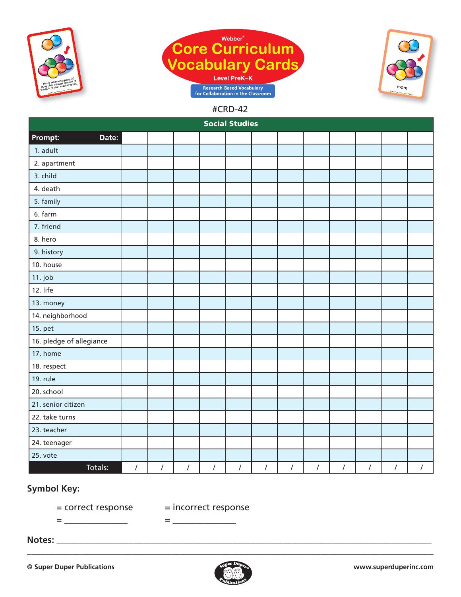





| <b>Social Studies</b>    |                |            |            |            |            |            |            |            |            |            |            |                |
|--------------------------|----------------|------------|------------|------------|------------|------------|------------|------------|------------|------------|------------|----------------|
| Prompt:<br>Date:         |                |            |            |            |            |            |            |            |            |            |            |                |
| 1. adult                 |                |            |            |            |            |            |            |            |            |            |            |                |
| 2. apartment             |                |            |            |            |            |            |            |            |            |            |            |                |
| 3. child                 |                |            |            |            |            |            |            |            |            |            |            |                |
| 4. death                 |                |            |            |            |            |            |            |            |            |            |            |                |
| 5. family                |                |            |            |            |            |            |            |            |            |            |            |                |
| 6. farm                  |                |            |            |            |            |            |            |            |            |            |            |                |
| 7. friend                |                |            |            |            |            |            |            |            |            |            |            |                |
| 8. hero                  |                |            |            |            |            |            |            |            |            |            |            |                |
| 9. history               |                |            |            |            |            |            |            |            |            |            |            |                |
| 10. house                |                |            |            |            |            |            |            |            |            |            |            |                |
| $11.$ job                |                |            |            |            |            |            |            |            |            |            |            |                |
| 12. life                 |                |            |            |            |            |            |            |            |            |            |            |                |
| 13. money                |                |            |            |            |            |            |            |            |            |            |            |                |
| 14. neighborhood         |                |            |            |            |            |            |            |            |            |            |            |                |
| 15. pet                  |                |            |            |            |            |            |            |            |            |            |            |                |
| 16. pledge of allegiance |                |            |            |            |            |            |            |            |            |            |            |                |
| 17. home                 |                |            |            |            |            |            |            |            |            |            |            |                |
| 18. respect              |                |            |            |            |            |            |            |            |            |            |            |                |
| 19. rule                 |                |            |            |            |            |            |            |            |            |            |            |                |
| 20. school               |                |            |            |            |            |            |            |            |            |            |            |                |
| 21. senior citizen       |                |            |            |            |            |            |            |            |            |            |            |                |
| 22. take turns           |                |            |            |            |            |            |            |            |            |            |            |                |
| 23. teacher              |                |            |            |            |            |            |            |            |            |            |            |                |
| 24. teenager             |                |            |            |            |            |            |            |            |            |            |            |                |
| 25. vote                 |                |            |            |            |            |            |            |            |            |            |            |                |
| Totals:                  | $\overline{I}$ | $\sqrt{ }$ | $\sqrt{2}$ | $\sqrt{ }$ | $\sqrt{ }$ | $\sqrt{ }$ | $\sqrt{2}$ | $\sqrt{ }$ | $\sqrt{2}$ | $\sqrt{ }$ | $\sqrt{2}$ | $\overline{I}$ |

### **Symbol Key:**

= \_\_\_\_\_\_\_\_\_\_\_\_\_\_ = \_\_\_\_\_\_\_\_\_\_\_\_\_\_

= correct response = incorrect response

**Notes:** \_\_\_\_\_\_\_\_\_\_\_\_\_\_\_\_\_\_\_\_\_\_\_\_\_\_\_\_\_\_\_\_\_\_\_\_\_\_\_\_\_\_\_\_\_\_\_\_\_\_\_\_\_\_\_\_\_\_\_\_\_\_\_\_\_\_\_\_\_\_\_\_\_\_\_\_\_\_\_\_\_\_\_